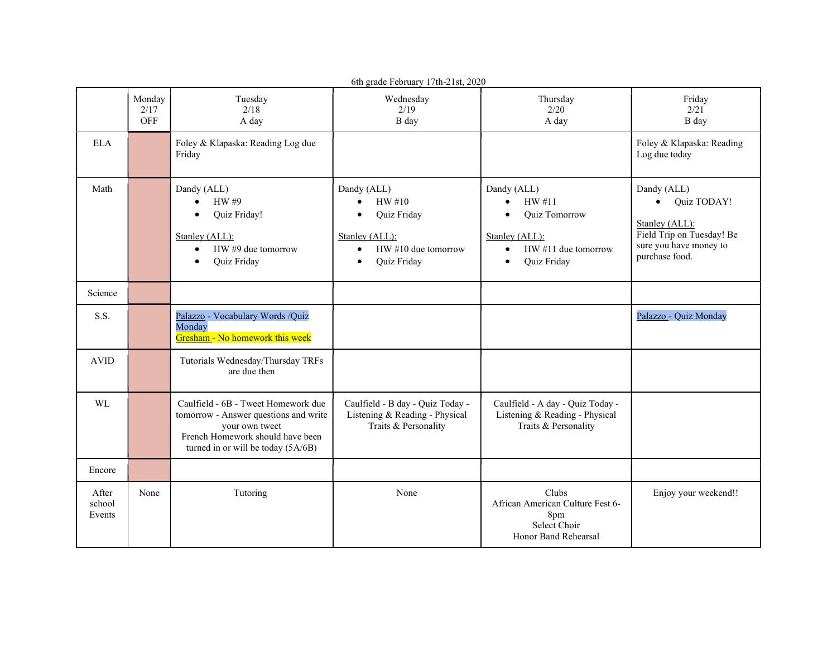| 6th grade February 17th-21st, 2020 |                       |                                                                                                                                                                          |                                                                                                                                                  |                                                                                                                                                   |                                                                                                                                    |  |  |  |
|------------------------------------|-----------------------|--------------------------------------------------------------------------------------------------------------------------------------------------------------------------|--------------------------------------------------------------------------------------------------------------------------------------------------|---------------------------------------------------------------------------------------------------------------------------------------------------|------------------------------------------------------------------------------------------------------------------------------------|--|--|--|
|                                    | Monday<br>2/17<br>OFF | Tuesday<br>2/18<br>A day                                                                                                                                                 | Wednesday<br>2/19<br>B day                                                                                                                       | Thursday<br>2/20<br>A day                                                                                                                         | Friday<br>2/21<br>B day                                                                                                            |  |  |  |
| <b>ELA</b>                         |                       | Foley & Klapaska: Reading Log due<br>Friday                                                                                                                              |                                                                                                                                                  |                                                                                                                                                   | Foley & Klapaska: Reading<br>Log due today                                                                                         |  |  |  |
| Math                               |                       | Dandy (ALL)<br>HW #9<br>$\bullet$<br>Quiz Friday!<br>Stanley (ALL):<br>HW #9 due tomorrow<br>$\bullet$<br>Quiz Friday<br>$\bullet$                                       | Dandy (ALL)<br>HW #10<br>$\bullet$<br>Quiz Friday<br>$\bullet$<br>Stanley (ALL):<br>HW #10 due tomorrow<br>$\bullet$<br>Quiz Friday<br>$\bullet$ | Dandy (ALL)<br>HW#11<br>$\bullet$<br>Quiz Tomorrow<br>$\bullet$<br>Stanley (ALL):<br>HW #11 due tomorrow<br>$\bullet$<br>Quiz Friday<br>$\bullet$ | Dandy (ALL)<br>Quiz TODAY!<br>$\bullet$<br>Stanley (ALL):<br>Field Trip on Tuesday! Be<br>sure you have money to<br>purchase food. |  |  |  |
| Science                            |                       |                                                                                                                                                                          |                                                                                                                                                  |                                                                                                                                                   |                                                                                                                                    |  |  |  |
| S.S.                               |                       | Palazzo - Vocabulary Words /Quiz<br>Monday<br>Gresham - No homework this week                                                                                            |                                                                                                                                                  |                                                                                                                                                   | Palazzo - Quiz Monday                                                                                                              |  |  |  |
| <b>AVID</b>                        |                       | Tutorials Wednesday/Thursday TRFs<br>are due then                                                                                                                        |                                                                                                                                                  |                                                                                                                                                   |                                                                                                                                    |  |  |  |
| WL                                 |                       | Caulfield - 6B - Tweet Homework due<br>tomorrow - Answer questions and write<br>your own tweet<br>French Homework should have been<br>turned in or will be today (5A/6B) | Caulfield - B day - Quiz Today -<br>Listening & Reading - Physical<br>Traits & Personality                                                       | Caulfield - A day - Quiz Today -<br>Listening & Reading - Physical<br>Traits & Personality                                                        |                                                                                                                                    |  |  |  |
| Encore                             |                       |                                                                                                                                                                          |                                                                                                                                                  |                                                                                                                                                   |                                                                                                                                    |  |  |  |
| After<br>school<br>Events          | None                  | Tutoring                                                                                                                                                                 | None                                                                                                                                             | Clubs<br>African American Culture Fest 6-<br>8pm<br>Select Choir<br>Honor Band Rehearsal                                                          | Enjoy your weekend!!                                                                                                               |  |  |  |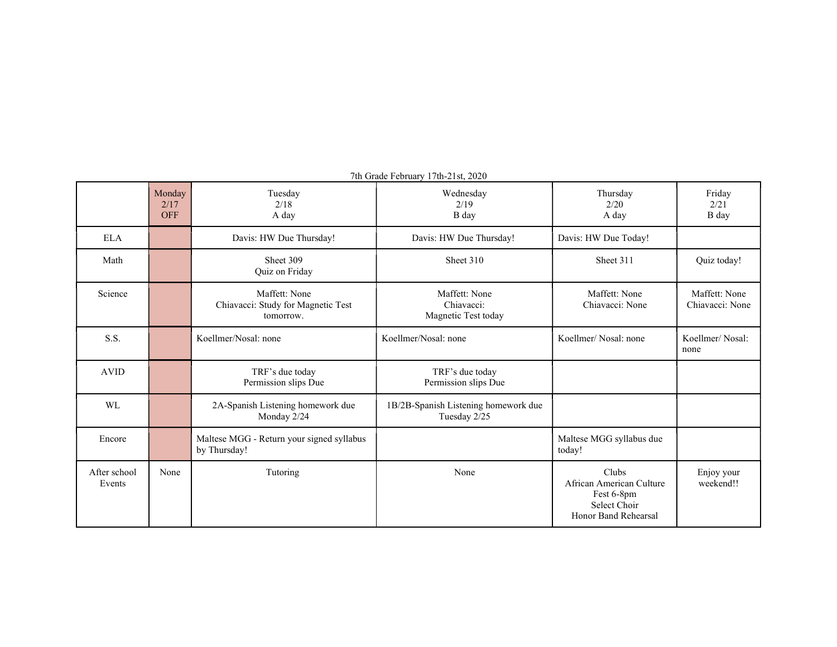|                        | Monday<br>2/17<br><b>OFF</b> | Tuesday<br>2/18<br>A day                                         | Wednesday<br>2/19<br>B day                           | Thursday<br>2/20<br>A day                                                               | Friday<br>2/21<br>B day          |
|------------------------|------------------------------|------------------------------------------------------------------|------------------------------------------------------|-----------------------------------------------------------------------------------------|----------------------------------|
| <b>ELA</b>             |                              | Davis: HW Due Thursday!                                          | Davis: HW Due Thursday!                              | Davis: HW Due Today!                                                                    |                                  |
| Math                   |                              | Sheet 309<br>Quiz on Friday                                      | Sheet 310                                            | Sheet 311                                                                               | Quiz today!                      |
| Science                |                              | Maffett: None<br>Chiavacci: Study for Magnetic Test<br>tomorrow. | Maffett: None<br>Chiavacci:<br>Magnetic Test today   | Maffett: None<br>Chiavacci: None                                                        | Maffett: None<br>Chiavacci: None |
| S.S.                   |                              | Koellmer/Nosal: none                                             | Koellmer/Nosal: none                                 | Koellmer/Nosal: none                                                                    | Koellmer/Nosal:<br>none          |
| <b>AVID</b>            |                              | TRF's due today<br>Permission slips Due                          | TRF's due today<br>Permission slips Due              |                                                                                         |                                  |
| WL                     |                              | 2A-Spanish Listening homework due<br>Monday 2/24                 | 1B/2B-Spanish Listening homework due<br>Tuesday 2/25 |                                                                                         |                                  |
| Encore                 |                              | Maltese MGG - Return your signed syllabus<br>by Thursday!        |                                                      | Maltese MGG syllabus due<br>today!                                                      |                                  |
| After school<br>Events | None                         | Tutoring                                                         | None                                                 | Clubs<br>African American Culture<br>Fest 6-8pm<br>Select Choir<br>Honor Band Rehearsal | Enjoy your<br>weekend!!          |

7th Grade February 17th-21st, 2020